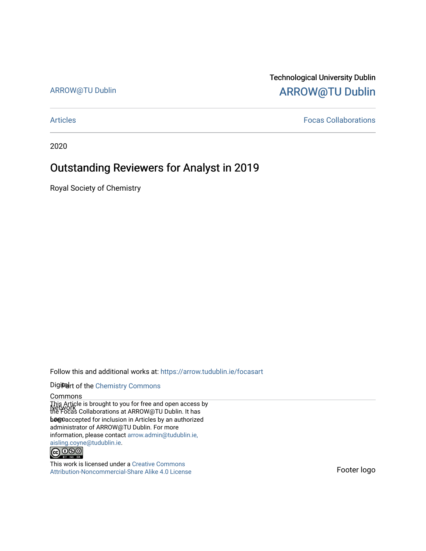## ARROW@TU Dublin

## Technological University Dublin [ARROW@TU Dublin](https://arrow.tudublin.ie/)

[Articles](https://arrow.tudublin.ie/focasart) [Focas Collaborations](https://arrow.tudublin.ie/focas) 

2020

## Outstanding Reviewers for Analyst in 2019

Royal Society of Chemistry

Follow this and additional works at: [https://arrow.tudublin.ie/focasart](https://arrow.tudublin.ie/focasart?utm_source=arrow.tudublin.ie%2Ffocasart%2F1&utm_medium=PDF&utm_campaign=PDFCoverPages)

### Digiteart of the Chemistry Commons

#### Commons

This Article is brought to you for free and open access by<br>Network Colleborations at ARROW@TU Dublin, It boo **beejoaccepted for inclusion in Articles by an authorized** the Focas Collaborations at ARROW@TU Dublin. It has administrator of ARROW@TU Dublin. For more information, please contact [arrow.admin@tudublin.ie,](mailto:arrow.admin@tudublin.ie,%20aisling.coyne@tudublin.ie)  [aisling.coyne@tudublin.ie.](mailto:arrow.admin@tudublin.ie,%20aisling.coyne@tudublin.ie)<br>
© 0990



This work is licensed under a [Creative Commons](http://creativecommons.org/licenses/by-nc-sa/4.0/) [Attribution-Noncommercial-Share Alike 4.0 License](http://creativecommons.org/licenses/by-nc-sa/4.0/) Force Force Footer logo